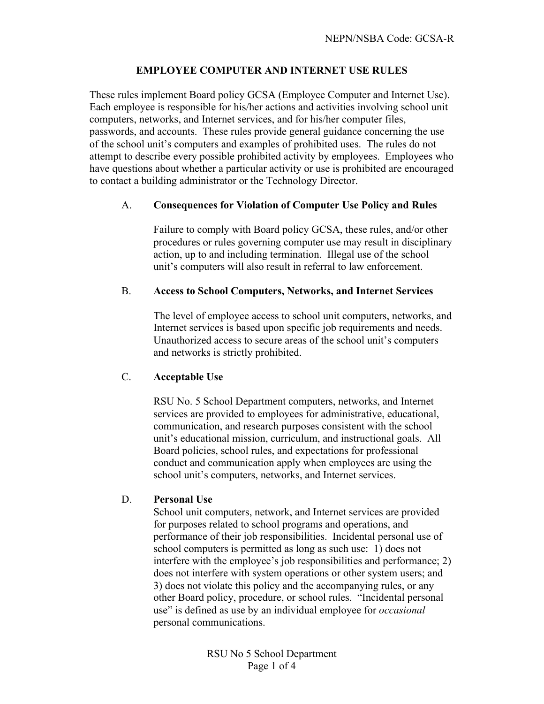# **EMPLOYEE COMPUTER AND INTERNET USE RULES**

These rules implement Board policy GCSA (Employee Computer and Internet Use). Each employee is responsible for his/her actions and activities involving school unit computers, networks, and Internet services, and for his/her computer files, passwords, and accounts. These rules provide general guidance concerning the use of the school unit's computers and examples of prohibited uses. The rules do not attempt to describe every possible prohibited activity by employees. Employees who have questions about whether a particular activity or use is prohibited are encouraged to contact a building administrator or the Technology Director.

#### A. **Consequences for Violation of Computer Use Policy and Rules**

Failure to comply with Board policy GCSA, these rules, and/or other procedures or rules governing computer use may result in disciplinary action, up to and including termination. Illegal use of the school unit's computers will also result in referral to law enforcement.

### B. **Access to School Computers, Networks, and Internet Services**

The level of employee access to school unit computers, networks, and Internet services is based upon specific job requirements and needs. Unauthorized access to secure areas of the school unit's computers and networks is strictly prohibited.

# C. **Acceptable Use**

RSU No. 5 School Department computers, networks, and Internet services are provided to employees for administrative, educational, communication, and research purposes consistent with the school unit's educational mission, curriculum, and instructional goals. All Board policies, school rules, and expectations for professional conduct and communication apply when employees are using the school unit's computers, networks, and Internet services.

#### D. **Personal Use**

School unit computers, network, and Internet services are provided for purposes related to school programs and operations, and performance of their job responsibilities. Incidental personal use of school computers is permitted as long as such use: 1) does not interfere with the employee's job responsibilities and performance; 2) does not interfere with system operations or other system users; and 3) does not violate this policy and the accompanying rules, or any other Board policy, procedure, or school rules. "Incidental personal use" is defined as use by an individual employee for *occasional* personal communications.

> RSU No 5 School Department Page 1 of 4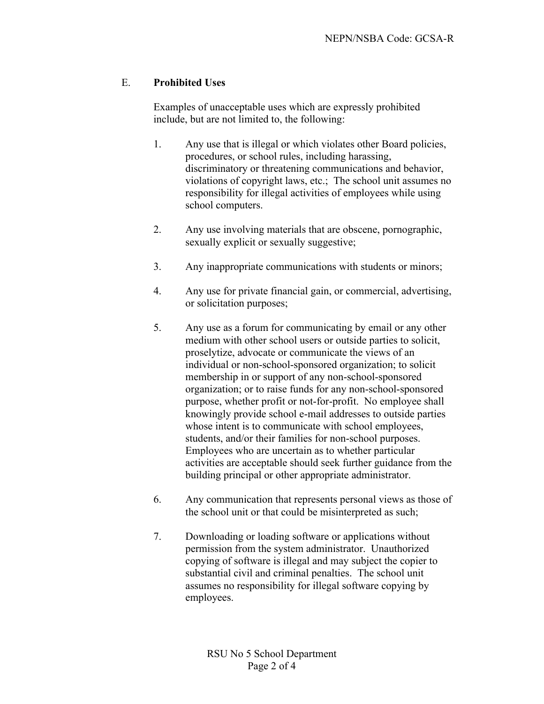## E. **Prohibited Uses**

Examples of unacceptable uses which are expressly prohibited include, but are not limited to, the following:

- 1. Any use that is illegal or which violates other Board policies, procedures, or school rules, including harassing, discriminatory or threatening communications and behavior, violations of copyright laws, etc.; The school unit assumes no responsibility for illegal activities of employees while using school computers.
- 2. Any use involving materials that are obscene, pornographic, sexually explicit or sexually suggestive;
- 3. Any inappropriate communications with students or minors;
- 4. Any use for private financial gain, or commercial, advertising, or solicitation purposes;
- 5. Any use as a forum for communicating by email or any other medium with other school users or outside parties to solicit, proselytize, advocate or communicate the views of an individual or non-school-sponsored organization; to solicit membership in or support of any non-school-sponsored organization; or to raise funds for any non-school-sponsored purpose, whether profit or not-for-profit. No employee shall knowingly provide school e-mail addresses to outside parties whose intent is to communicate with school employees, students, and/or their families for non-school purposes. Employees who are uncertain as to whether particular activities are acceptable should seek further guidance from the building principal or other appropriate administrator.
- 6. Any communication that represents personal views as those of the school unit or that could be misinterpreted as such;
- 7. Downloading or loading software or applications without permission from the system administrator. Unauthorized copying of software is illegal and may subject the copier to substantial civil and criminal penalties. The school unit assumes no responsibility for illegal software copying by employees.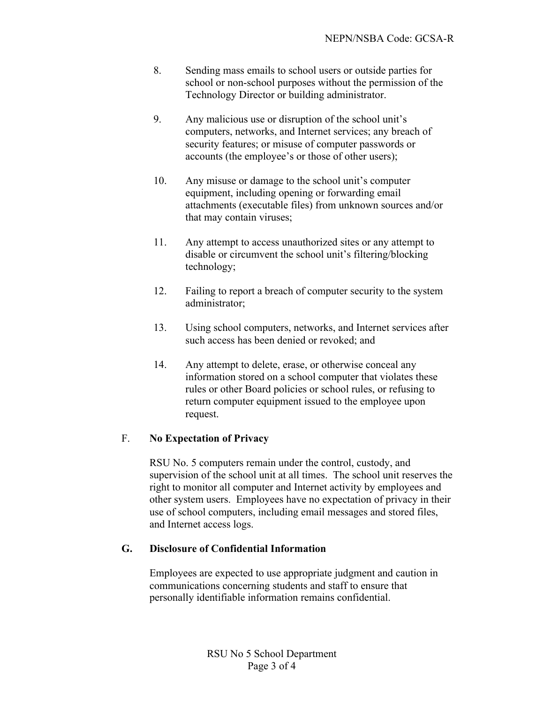- 8. Sending mass emails to school users or outside parties for school or non-school purposes without the permission of the Technology Director or building administrator.
- 9. Any malicious use or disruption of the school unit's computers, networks, and Internet services; any breach of security features; or misuse of computer passwords or accounts (the employee's or those of other users);
- 10. Any misuse or damage to the school unit's computer equipment, including opening or forwarding email attachments (executable files) from unknown sources and/or that may contain viruses;
- 11. Any attempt to access unauthorized sites or any attempt to disable or circumvent the school unit's filtering/blocking technology;
- 12. Failing to report a breach of computer security to the system administrator;
- 13. Using school computers, networks, and Internet services after such access has been denied or revoked; and
- 14. Any attempt to delete, erase, or otherwise conceal any information stored on a school computer that violates these rules or other Board policies or school rules, or refusing to return computer equipment issued to the employee upon request.

# F. **No Expectation of Privacy**

RSU No. 5 computers remain under the control, custody, and supervision of the school unit at all times. The school unit reserves the right to monitor all computer and Internet activity by employees and other system users. Employees have no expectation of privacy in their use of school computers, including email messages and stored files, and Internet access logs.

# **G. Disclosure of Confidential Information**

Employees are expected to use appropriate judgment and caution in communications concerning students and staff to ensure that personally identifiable information remains confidential.